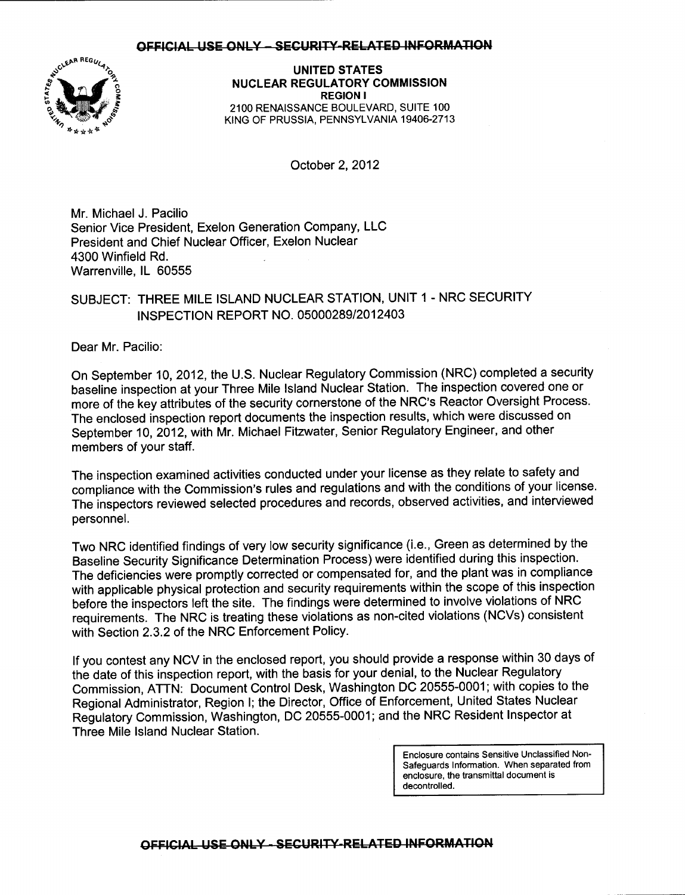#### OFFICIAL USE ONLY - SECURITY-RELATED INFORMATION



UNITED STATES NUCLEAR REGULATORY COMMISSION REGION I 21OO RENAISSANCE BOULEVARD, SUITE 1OO KING OF PRUSSIA, PENNSYLVANIA 19406.2713

October 2,2012

Mr. Michael J. Pacilio Senior Vice President, Exelon Generation Company, LLC President and Chief Nuclear Officer, Exelon Nuclear 4300 Winfield Rd. Warrenville, lL 60555

## SUBJECT: THREE MILE ISLAND NUCLEAR STATION, UNIT 1 - NRC SECURITY INSPECTION REPORT NO. 0500028912012403

Dear Mr. Pacilio:

On September 10, 2012, the U.S. Nuclear Regulatory Commission (NRC) completed a security baseline inspection at your Three Mile lsland Nuclear Station. The inspection covered one or more of the key attributes of the security cornerstone of the NRC's Reactor Oversight Process. The enclosed inspection report documents the inspection results, which were discussed on September 10,2012, with Mr. Michael Fitzwater, Senior Regulatory Engineer, and other members of your staff.

The inspection examined activities conducted under your license as they relate to safety and compliance with the Commission's rules and regulations and with the conditions of your license. The inspectors reviewed selected procedures and records, obseryed activities, and interviewed personnel.

Two NRC identified findings of very low security significance (i.e., Green as determined by the Baseline Security Significance Determination Process) were identified during this inspection. The deficiencies were promptly corrected or compensated for, and the plant was in compliance with applicable physical protection and security requirements within the scope of this inspection before the inspectors left the site. The findings were determined to involve violations of NRC requirements. The NRC is treating these violations as non-cited violations (NCVs) consistent with Section 2.3.2 of the NRC Enforcement Policy.

lf you contest any NCV in the enclosed report, you should provide a response within 30 days of the date of this inspection report, with the basis for your denial, to the Nuclear Regulatory Commission, ATTN: Document Control Desk, Washington DC 20555-0001; with copies to the Regional Administrator, Region I; the Director, Office of Enforcement, United States Nuclear Regulatory Commission, Washington, DC 20555-0001; and the NRC Resident Inspector at Three Mile lsland Nuclear Station.

> Enclosure contains Sensitive Unclassified Non-Safeguards Information. When separated from enclosure, the transmittal document is decontrolled.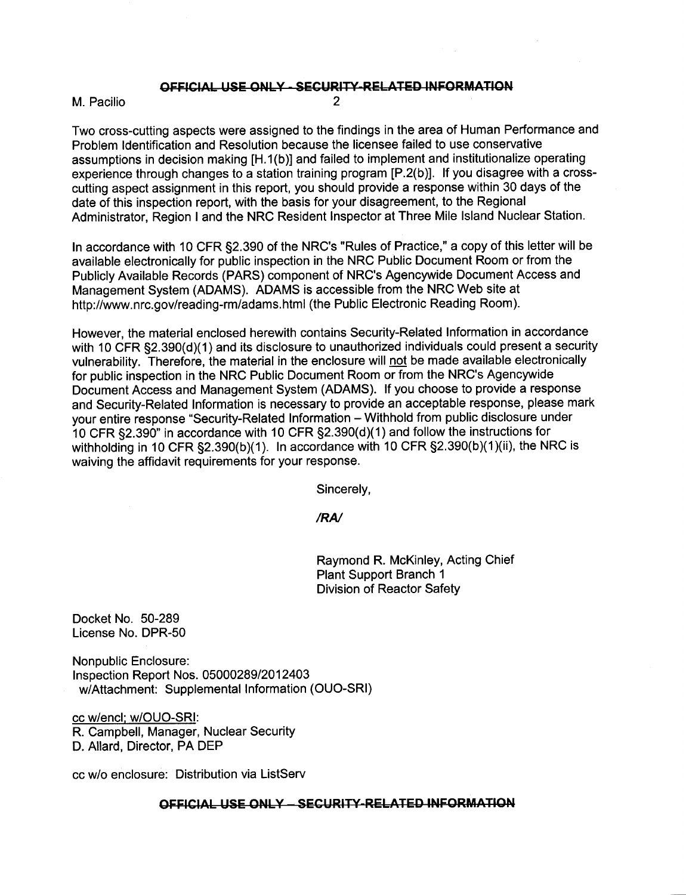## **OFFICIAL USE ONLY - SECURITY-RELATED INFORMATION**<br>2

Two cross-cutting aspects were assigned to the findings in the area of Human Performance and Problem ldentification and Resolution because the licensee failed to use conservative assumptions in decision making [H.1(b)] and failed to implement and institutionalize operating experience through changes to a station training program [P.2(b)]. lf you disagree with a crosscutting aspect assignment in this report, you should provide a response within 30 days of the date of this inspection report, with the basis for your disagreement, to the Regional Administrator, Region I and the NRC Resident lnspector at Three Mile lsland Nuclear Station.

In accordance with 10 CFR 52.390 of the NRC's "Rules of Practice," a copy of this letter will be available electronically for public inspection in the NRC Public Document Room or from the Publicly Available Records (PARS) component of NRC's Agencywide Document Access and Management System (ADAMS). ADAMS is accessible from the NRC Web site at http://www.nrc.gov/reading-rm/adams.html (the Public Electronic Reading Room).

However, the material enclosed herewith contains Security-Related Information in accordance with 10 CFR §2.390(d)(1) and its disclosure to unauthorized individuals could present a security vulnerability. Therefore, the material in the enclosure will not be made available electronically for public inspection in the NRC Public Document Room or from the NRC's Agencywide Document Access and Management System (ADAMS). lf you choose to provide a response and Security-Related Information is necessary to provide an acceptable response, please mark your entire response "Security-Related Information - Withhold from public disclosure under 10 CFR  $\S2.390$ " in accordance with 10 CFR  $\S2.390(d)(1)$  and follow the instructions for withholding in 10 CFR  $\S2.390(b)(1)$ . In accordance with 10 CFR  $\S2.390(b)(1)(ii)$ , the NRC is waiving the affidavit requirements for your response.

Sincerely,

/RN

Raymond R. McKinley, Acting Chief Plant Support Branch <sup>1</sup> Division of Reactor Safety

Docket No. 50-289 License No. DPR-50

Nonpublic Enclosure: Inspection Report Nos. 05000289/2012403 MAttachment: Supplemental Information (OUO-SRI)

cc w/encl: w/OUO-SR|: R. Campbell, Manager, Nuclear Security D. Allard, Director, PA DEP

cc w/o enclosure: Distribution via ListServ

#### OFFICIAL USE ONLY - SECURITY-RELATED INFORMATION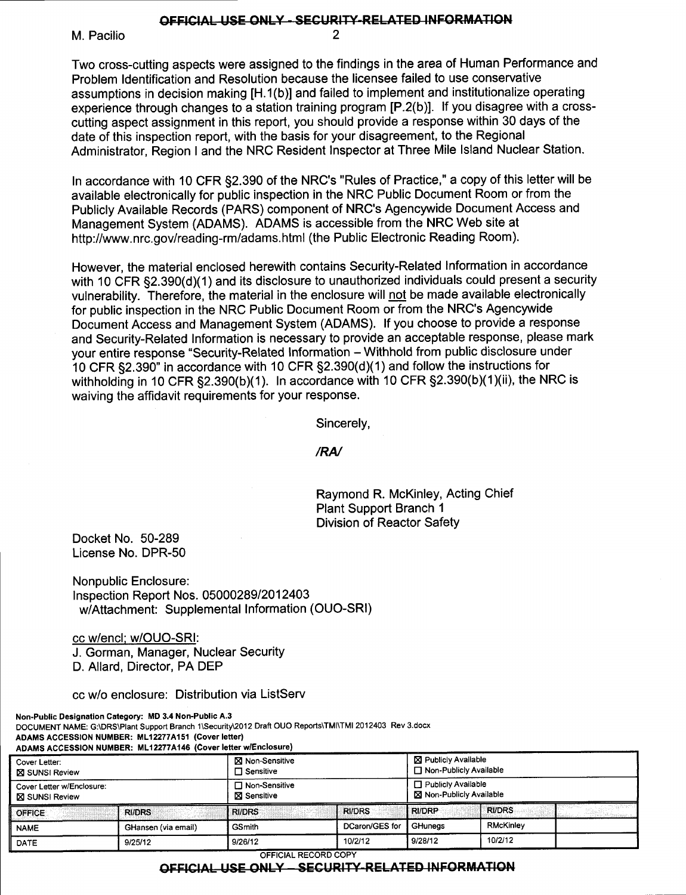### OFFICIAL USE ONLY - SECURITY-RELATED INFORMATION

M. Pacilio

Two cross-cutting aspects were assigned to the findings in the area of Human Performance and Problem ldentification and Resolution because the licensee failed to use conservative assumptions in decision making [H.1(b)] and failed to implement and institutionalize operating experience through changes to a station training program [P.2(b)]. If you disagree with a crosscutting aspect assignment in this report, you should provide a response within 30 days of the date of this inspection report, with the basis for your disagreement, to the Regional Administrator, Region I and the NRC Resident Inspector at Three Mile lsland Nuclear Station.

In accordance with 10 CFR 52.390 of the NRC's "Rules of Practice," a copy of this letter will be available electronically for public inspection in the NRC Public Document Room or from the Publicly Available Records (PARS) component of NRC's Agencywide Document Access and Management System (ADAMS). ADAMS is accessible from the NRC Web site at http://www.nrc.gov/reading-rm/adams.html (the Public Electronic Reading Room).

However, the material enclosed herewith contains Security-Related lnformation in accordance with 10 CFR §2.390(d)(1) and its disclosure to unauthorized individuals could present a security vulnerability. Therefore, the material in the enclosure will not be made available electronically for public inspection in the NRC Public Document Room or from the NRC's Agencyuide Document Access and Management System (ADAMS). lf you choose to provide a response and Security-Related Information is necessary to provide an acceptable response, please mark your entire response "Security-Related Information - Withhold from public disclosure under 10 CFR  $\S2.390$ " in accordance with 10 CFR  $\S2.390(d)(1)$  and follow the instructions for withholding in 10 CFR  $\S2.390(b)(1)$ . In accordance with 10 CFR  $\S2.390(b)(1)(ii)$ , the NRC is waiving the affidavit requirements for your response.

Sincerely,

/RN

Raymond R. McKinley, Acting Chief Plant Support Branch <sup>1</sup> Division of Reactor Safety

Docket No. 50-289 License No. DPR-50

Nonpublic Enclosure: <sup>f</sup>nspection Report Nos. 0500028912012403 w/Attachment: Supplemental lnformation (OUO-SRI)

cc w/encl: w/OUO-SR|: J. Gorman, Manager, Nuclear Security D. Allard, Director, PA DEP

cc Mo enclosure: Distribution via ListServ

Non-Public Designation Gategory: MD 3.4 Non-Public A.3 DOCUMENT NAME: G:\DRS\Plant Support Branch 1\Security\2012 Draft OUO Reports\TMI\TMI 2012403 Rev 3.docx ADAMS ACCESSION NUMBER: ML12277A151 (Cover letter)  $F$ ADAM MUMBER: ML12277A116 (Asset

|                                                                                               | ADAMS ACCESSION NOMBER. METZZI IATNO (OOVELIGHEI WILHOLOGIC) |                                                                              |                |                                                                                                           |           |  |
|-----------------------------------------------------------------------------------------------|--------------------------------------------------------------|------------------------------------------------------------------------------|----------------|-----------------------------------------------------------------------------------------------------------|-----------|--|
| Cover Letter:<br><b>XI SUNSI Review</b><br>Cover Letter w/Enclosure:<br><b>X</b> SUNSI Review |                                                              | X Non-Sensitive<br>$\Box$ Sensitive<br>□ Non-Sensitive<br><b>⊠</b> Sensitive |                | <b>⊠ Publicly Available</b><br>□ Non-Publicly Available<br>□ Publicly Available<br>Non-Publicly Available |           |  |
|                                                                                               |                                                              |                                                                              |                |                                                                                                           |           |  |
| <b>NAME</b>                                                                                   | GHansen (via email)                                          | <b>GSmith</b>                                                                | DCaron/GES for | GHuneas                                                                                                   | RMcKinley |  |
| DATE                                                                                          | 9/25/12                                                      | 9/26/12                                                                      | 10/2/12        | 9/28/12                                                                                                   | 10/2/12   |  |